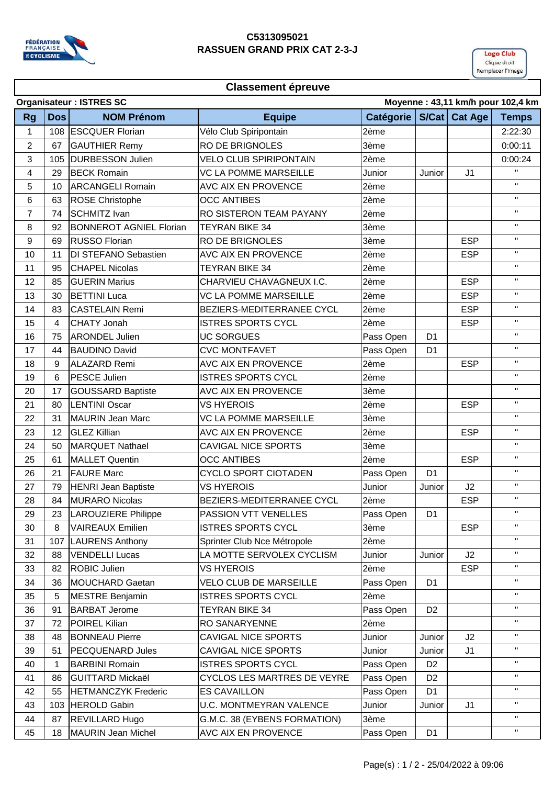

## **C5313095021 RASSUEN GRAND PRIX CAT 2-3-J**



## **Classement épreuve**

|                | <b>Organisateur: ISTRES SC</b><br>Moyenne: 43,11 km/h pour 102,4 km |                                |                                    |                  |                |                      |                    |  |  |  |
|----------------|---------------------------------------------------------------------|--------------------------------|------------------------------------|------------------|----------------|----------------------|--------------------|--|--|--|
| <b>Rg</b>      | <b>Dos</b>                                                          | <b>NOM Prénom</b>              | <b>Equipe</b>                      | <b>Catégorie</b> |                | <b>S/Cat Cat Age</b> | <b>Temps</b>       |  |  |  |
| 1              |                                                                     | 108 ESCQUER Florian            | Vélo Club Spiripontain             | 2ème             |                |                      | 2:22:30            |  |  |  |
| $\overline{2}$ | 67                                                                  | <b>GAUTHIER Remy</b>           | <b>RO DE BRIGNOLES</b>             | 3ème             |                |                      | 0:00:11            |  |  |  |
| 3              | 105                                                                 | <b>DURBESSON Julien</b>        | <b>VELO CLUB SPIRIPONTAIN</b>      | 2ème             |                |                      | 0:00:24            |  |  |  |
| 4              | 29                                                                  | <b>BECK Romain</b>             | VC LA POMME MARSEILLE              | Junior           | Junior         | J <sub>1</sub>       | $\mathbf{H}$       |  |  |  |
| 5              | 10                                                                  | <b>ARCANGELI Romain</b>        | AVC AIX EN PROVENCE                | 2ème             |                |                      | $\mathbf{H}$       |  |  |  |
| 6              | 63                                                                  | <b>ROSE Christophe</b>         | <b>OCC ANTIBES</b>                 | 2ème             |                |                      | $\mathbf H$        |  |  |  |
| $\overline{7}$ | 74                                                                  | <b>SCHMITZ Ivan</b>            | <b>RO SISTERON TEAM PAYANY</b>     | 2ème             |                |                      | $\mathbf{H}$       |  |  |  |
| 8              | 92                                                                  | <b>BONNEROT AGNIEL Florian</b> | <b>TEYRAN BIKE 34</b>              | 3ème             |                |                      | $\mathbf{H}$       |  |  |  |
| 9              | 69                                                                  | <b>RUSSO Florian</b>           | <b>RO DE BRIGNOLES</b>             | 3ème             |                | <b>ESP</b>           | $\pmb{\mathsf{H}}$ |  |  |  |
| 10             | 11                                                                  | <b>DI STEFANO Sebastien</b>    | AVC AIX EN PROVENCE                | 2ème             |                | <b>ESP</b>           | $\pmb{\mathsf{H}}$ |  |  |  |
| 11             | 95                                                                  | <b>CHAPEL Nicolas</b>          | <b>TEYRAN BIKE 34</b>              | 2ème             |                |                      | $\pmb{\mathsf{H}}$ |  |  |  |
| 12             | 85                                                                  | <b>GUERIN Marius</b>           | CHARVIEU CHAVAGNEUX I.C.           | 2ème             |                | <b>ESP</b>           | $\mathbf{H}$       |  |  |  |
| 13             | 30                                                                  | <b>BETTINI Luca</b>            | <b>VC LA POMME MARSEILLE</b>       | 2ème             |                | <b>ESP</b>           | $\mathbf H$        |  |  |  |
| 14             | 83                                                                  | <b>CASTELAIN Remi</b>          | BEZIERS-MEDITERRANEE CYCL          | 2ème             |                | <b>ESP</b>           | $\pmb{\mathsf{H}}$ |  |  |  |
| 15             | 4                                                                   | <b>CHATY Jonah</b>             | <b>ISTRES SPORTS CYCL</b>          | 2ème             |                | <b>ESP</b>           | $\mathbf H$        |  |  |  |
| 16             | 75                                                                  | <b>ARONDEL Julien</b>          | <b>UC SORGUES</b>                  | Pass Open        | D <sub>1</sub> |                      | $\mathbf{H}$       |  |  |  |
| 17             | 44                                                                  | <b>BAUDINO David</b>           | <b>CVC MONTFAVET</b>               | Pass Open        | D <sub>1</sub> |                      | $\mathbf{H}$       |  |  |  |
| 18             | 9                                                                   | <b>ALAZARD Remi</b>            | <b>AVC AIX EN PROVENCE</b>         | 2ème             |                | <b>ESP</b>           | $\pmb{\mathsf{H}}$ |  |  |  |
| 19             | 6                                                                   | <b>PESCE Julien</b>            | <b>ISTRES SPORTS CYCL</b>          | 2ème             |                |                      | $\mathbf{H}$       |  |  |  |
| 20             | 17                                                                  | <b>GOUSSARD Baptiste</b>       | <b>AVC AIX EN PROVENCE</b>         | 3ème             |                |                      | $\mathbf{H}$       |  |  |  |
| 21             | 80                                                                  | <b>LENTINI Oscar</b>           | <b>VS HYEROIS</b>                  | 2ème             |                | <b>ESP</b>           | $\mathbf H$        |  |  |  |
| 22             | 31                                                                  | <b>MAURIN Jean Marc</b>        | VC LA POMME MARSEILLE              | 3ème             |                |                      | $\mathbf{H}$       |  |  |  |
| 23             | 12                                                                  | <b>GLEZ Killian</b>            | AVC AIX EN PROVENCE                | 2ème             |                | <b>ESP</b>           | $\mathbf H$        |  |  |  |
| 24             | 50                                                                  | <b>MARQUET Nathael</b>         | <b>CAVIGAL NICE SPORTS</b>         | 3ème             |                |                      | $\mathbf{H}$       |  |  |  |
| 25             | 61                                                                  | <b>MALLET Quentin</b>          | <b>OCC ANTIBES</b>                 | 2ème             |                | <b>ESP</b>           | $\pmb{\mathsf{H}}$ |  |  |  |
| 26             | 21                                                                  | <b>FAURE Marc</b>              | <b>CYCLO SPORT CIOTADEN</b>        | Pass Open        | D <sub>1</sub> |                      | $\mathbf{H}$       |  |  |  |
| 27             | 79                                                                  | <b>HENRI Jean Baptiste</b>     | <b>VS HYEROIS</b>                  | Junior           | Junior         | J2                   | $\mathbf{H}$       |  |  |  |
| 28             | 84                                                                  | <b>MURARO Nicolas</b>          | BEZIERS-MEDITERRANEE CYCL          | 2ème             |                | <b>ESP</b>           | $\pmb{\mathsf{H}}$ |  |  |  |
| 29             | 23                                                                  | LAROUZIERE Philippe            | PASSION VTT VENELLES               | Pass Open        | D <sub>1</sub> |                      | $\mathbf{H}$       |  |  |  |
| 30             | 8                                                                   | <b>VAIREAUX Emilien</b>        | <b>ISTRES SPORTS CYCL</b>          | 3ème             |                | <b>ESP</b>           | $\mathbf H$        |  |  |  |
| 31             | 107                                                                 | <b>LAURENS Anthony</b>         | Sprinter Club Nce Métropole        | 2ème             |                |                      | $\pmb{\mathsf{H}}$ |  |  |  |
| 32             | 88                                                                  | <b>VENDELLI Lucas</b>          | LA MOTTE SERVOLEX CYCLISM          | Junior           | Junior         | J2                   | $\mathbf H$        |  |  |  |
| 33             | 82                                                                  | <b>ROBIC Julien</b>            | VS HYEROIS                         | 2ème             |                | <b>ESP</b>           | $\mathbf H$        |  |  |  |
| 34             | 36                                                                  | MOUCHARD Gaetan                | <b>VELO CLUB DE MARSEILLE</b>      | Pass Open        | D <sub>1</sub> |                      | $\mathbf H$        |  |  |  |
| 35             | 5                                                                   | <b>MESTRE Benjamin</b>         | <b>ISTRES SPORTS CYCL</b>          | 2ème             |                |                      | $\pmb{\mathsf{H}}$ |  |  |  |
| 36             | 91                                                                  | <b>BARBAT Jerome</b>           | <b>TEYRAN BIKE 34</b>              | Pass Open        | D <sub>2</sub> |                      | $\pmb{\mathsf{H}}$ |  |  |  |
| 37             | 72                                                                  | <b>POIREL Kilian</b>           | RO SANARYENNE                      | 2ème             |                |                      | $\mathbf{H}$       |  |  |  |
| 38             | 48                                                                  | <b>BONNEAU Pierre</b>          | <b>CAVIGAL NICE SPORTS</b>         | Junior           | Junior         | J2                   | $\mathbf H$        |  |  |  |
| 39             | 51                                                                  | <b>PECQUENARD Jules</b>        | <b>CAVIGAL NICE SPORTS</b>         | Junior           | Junior         | J1                   | $\mathbf H$        |  |  |  |
| 40             | $\mathbf{1}$                                                        | <b>BARBINI Romain</b>          | <b>ISTRES SPORTS CYCL</b>          | Pass Open        | D <sub>2</sub> |                      | $\mathbf H$        |  |  |  |
| 41             | 86                                                                  | <b>GUITTARD Mickaël</b>        | <b>CYCLOS LES MARTRES DE VEYRE</b> | Pass Open        | D <sub>2</sub> |                      | $\mathbf H$        |  |  |  |
| 42             | 55                                                                  | <b>HETMANCZYK Frederic</b>     | <b>ES CAVAILLON</b>                | Pass Open        | D <sub>1</sub> |                      | $\pmb{\mathsf{H}}$ |  |  |  |
| 43             | 103                                                                 | <b>HEROLD Gabin</b>            | <b>U.C. MONTMEYRAN VALENCE</b>     | Junior           | Junior         | J <sub>1</sub>       | $\mathbf H$        |  |  |  |
| 44             | 87                                                                  | <b>REVILLARD Hugo</b>          | G.M.C. 38 (EYBENS FORMATION)       | 3ème             |                |                      | $\mathbf H$        |  |  |  |
| 45             | 18                                                                  | <b>MAURIN Jean Michel</b>      | AVC AIX EN PROVENCE                | Pass Open        | D <sub>1</sub> |                      | $\mathbf{H}$       |  |  |  |